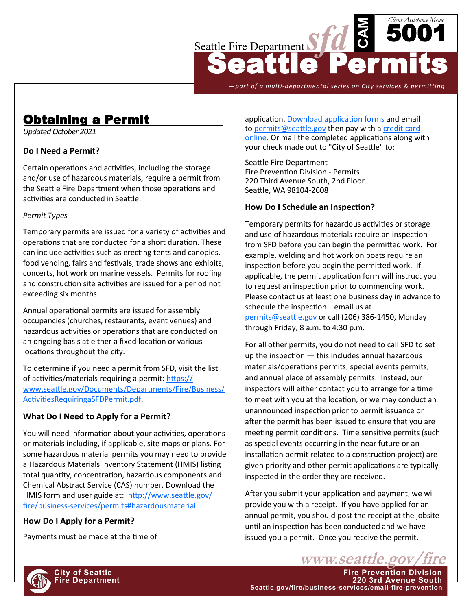

*—part of a multi-departmental series on City services & permitting*

# Obtaining a Permit

*Updated October 2021*

## **Do I Need a Permit?**

Certain operations and activities, including the storage and/or use of hazardous materials, require a permit from the Seattle Fire Department when those operations and activities are conducted in Seattle.

#### *Permit Types*

Temporary permits are issued for a variety of activities and operations that are conducted for a short duration. These can include activities such as erecting tents and canopies, food vending, fairs and festivals, trade shows and exhibits, concerts, hot work on marine vessels. Permits for roofing and construction site activities are issued for a period not exceeding six months.

Annual operational permits are issued for assembly occupancies (churches, restaurants, event venues) and hazardous activities or operations that are conducted on an ongoing basis at either a fixed location or various locations throughout the city.

To determine if you need a permit from SFD, visit the list of activities/materials requiring a permit: [https://](http://www.seattle.gov/Documents/Departments/Fire/Business/ActivitiesRequiringaSFDPermit.pdf) [www.seattle.gov/Documents/Departments/Fire/Business/](http://www.seattle.gov/Documents/Departments/Fire/Business/ActivitiesRequiringaSFDPermit.pdf) [ActivitiesRequiringaSFDPermit.pdf.](http://www.seattle.gov/Documents/Departments/Fire/Business/ActivitiesRequiringaSFDPermit.pdf)

## **What Do I Need to Apply for a Permit?**

You will need information about your activities, operations or materials including, if applicable, site maps or plans. For some hazardous material permits you may need to provide a Hazardous Materials Inventory Statement (HMIS) listing total quantity, concentration, hazardous components and Chemical Abstract Service (CAS) number. Download the HMIS form and user guide at: [http://www.seattle.gov/](http://www.seattle.gov/fire/business-services/permits#hazardousmaterial) fire/business-[services/permits#hazardousmaterial.](http://www.seattle.gov/fire/business-services/permits#hazardousmaterial) 

## **How Do I Apply for a Permit?**

Payments must be made at the time of

application. [Download application forms](http://www2.seattle.gov/fire/PermitSearch/) and email to [permits@seattle.gov](mailto:permits@seattle.gov) then pay with a credit card [online.](https://web7.seattle.gov/sfd/permits/) Or mail the completed applications along with your check made out to "City of Seattle" to:

Seattle Fire Department Fire Prevention Division - Permits 220 Third Avenue South, 2nd Floor Seattle, WA 98104-2608

## **How Do I Schedule an Inspection?**

Temporary permits for hazardous activities or storage and use of hazardous materials require an inspection from SFD before you can begin the permitted work. For example, welding and hot work on boats require an inspection before you begin the permitted work. If applicable, the permit application form will instruct you to request an inspection prior to commencing work. Please contact us at least one business day in advance to schedule the inspection—email us at [permits@seattle.gov](mailto:permits@seattle.gov) or call (206) 386-1450, Monday through Friday, 8 a.m. to 4:30 p.m.

For all other permits, you do not need to call SFD to set up the inspection — this includes annual hazardous materials/operations permits, special events permits, and annual place of assembly permits. Instead, our inspectors will either contact you to arrange for a time to meet with you at the location, or we may conduct an unannounced inspection prior to permit issuance or after the permit has been issued to ensure that you are meeting permit conditions. Time sensitive permits (such as special events occurring in the near future or an installation permit related to a construction project) are given priority and other permit applications are typically inspected in the order they are received.

After you submit your application and payment, we will provide you with a receipt. If you have applied for an annual permit, you should post the receipt at the jobsite until an inspection has been conducted and we have issued you a permit. Once you receive the permit,

www.seattle.gov **City of Seattle Fire Prevention Division Fire Department 220 3rd Avenue South Seattle.gov/fire/business-services/email-fire-prevention**